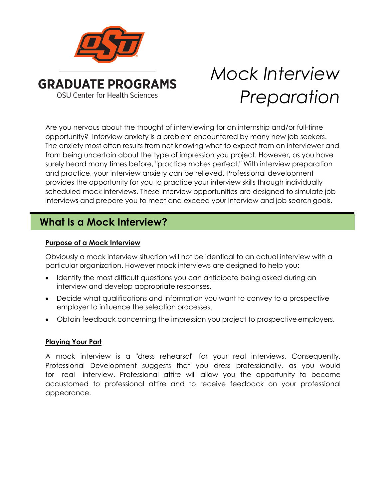

# *Mock Interview Preparation*

Are you nervous about the thought of interviewing for an internship and/or full-time opportunity? Interview anxiety is a problem encountered by many new job seekers. The anxiety most often results from not knowing what to expect from an interviewer and from being uncertain about the type of impression you project. However, as you have surely heard many times before, "practice makes perfect." With interview preparation and practice, your interview anxiety can be relieved. Professional development provides the opportunity for you to practice your interview skills through individually scheduled mock interviews. These interview opportunities are designed to simulate job interviews and prepare you to meet and exceed your interview and job search goals.

# **What Is a Mock Interview?**

## **Purpose of a Mock Interview**

Obviously a mock interview situation will not be identical to an actual interview with a particular organization. However mock interviews are designed to help you:

- Identify the most difficult questions you can anticipate being asked during an interview and develop appropriate responses.
- Decide what qualifications and information you want to convey to a prospective employer to influence the selection processes.
- Obtain feedback concerning the impression you project to prospective employers.

#### **Playing Your Part**

A mock interview is a "dress rehearsal" for your real interviews. Consequently, Professional Development suggests that you dress professionally, as you would for real interview. Professional attire will allow you the opportunity to become accustomed to professional attire and to receive feedback on your professional appearance.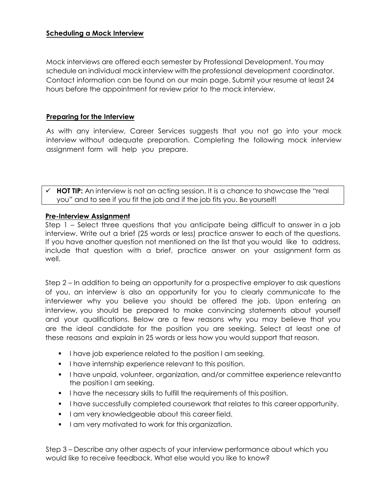#### **Scheduling a Mock Interview**

Mock interviews are offered each se[mester by Professional Dev](http://www.hireosugrads.com/)elopment. You may schedule an individual mock interview with the professional development coordinator. Contact information can be found on our main page. Submit your resume at least 24 hours before the appointment for review prior to the mock interview.

### **Preparing for the Interview**

As with any interview, Career Services suggests that you not go into your mock interview without adequate preparation. Completing the following mock interview assignment form will help you prepare.

**HOT TIP:** An interview is not an acting session. It is a chance to showcase the "real you" and to see if you fit the job and if the job fits you. Be yourself!

#### **Pre-Interview Assignment**

Step 1 – Select three questions that you anticipate being difficult to answer in a job interview. Write out a brief (25 words or less) practice answer to each of the questions. If you have another question not mentioned on the list that you would like to address, include that question with a brief, practice answer on your assignment form as well.

Step 2 – In addition to being an opportunity for a prospective employer to ask questions of you, an interview is also an opportunity for you to clearly communicate to the interviewer why you believe you should be offered the job. Upon entering an interview, you should be prepared to make convincing statements about yourself and your qualifications. Below are a few reasons why you may believe that you are the ideal candidate for the position you are seeking. Select at least one of these reasons and explain in 25 words or less how you would support that reason.

- I have job experience related to the position I am seeking.
- I have internship experience relevant to this position.
- **I** have unpaid, volunteer, organization, and/or committee experience relevant to the position I am seeking.
- I have the necessary skills to fulfill the requirements of this position.
- **I** have successfully completed coursework that relates to this career opportunity.
- **I** am very knowledgeable about this career field.
- I am very motivated to work for this organization.

Step 3 – Describe any other aspects of your interview performance about which you would like to receive feedback. What else would you like to know?